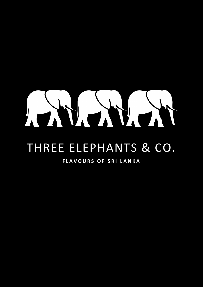# HUNDY

## THREE ELEPHANTS & CO.

## **FLAVOURS OF SRI LANKA**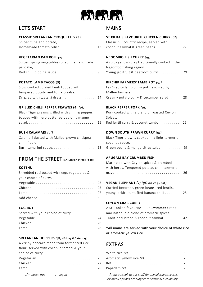

## LET'S START MAINS

#### **CLASSIC SRI LANKAN CROQUETTES (3)**

| Spiced tuna and potato, | Classic hill country recipe, served with |  |
|-------------------------|------------------------------------------|--|
|                         |                                          |  |

#### **VEGETARIAN PAN ROLL**  $(v)$

| Spiced spring vegetables rolled in a handmade | A spicy yellow curry traditionally cooked in the |
|-----------------------------------------------|--------------------------------------------------|
| pancake,                                      | Negombo fishing region.                          |
| Red chilli dipping sauce 9                    | Young jackfruit & beetroot curry                 |

#### **POTATO LAMB TACOS (3)**

| Slow cooked curried lamb topped with                                     | Laki's spicy lamb curry pot, favoured by |
|--------------------------------------------------------------------------|------------------------------------------|
| tempered potato and tomato salsa,                                        | Mallee farmers.                          |
| Drizzled with tzatziki dressing 14 Creamy potato curry & cucumber salad. |                                          |

#### **GRILLED CHILLI PEPPER PRAWNS (4) (gf)**

| Black Tiger prawns grilled with chilli & pepper, | Pork cooked with a blend of roasted Ceylon |
|--------------------------------------------------|--------------------------------------------|
| topped with herb butter served on a mango        | Spices.                                    |
|                                                  | Red lentil curry & coconut sambal          |

#### **BUSH CALAMARI (gf)**

| Calamari dusted with Mallee-grown chickpea | Black Tiger prawns cooked in a light turmeric |
|--------------------------------------------|-----------------------------------------------|
| chilli flour,                              | coconut sauce.                                |
|                                            |                                               |

## **FROM THE STREET** (Sri Lankan Street Food)

| Shredded roti tossed with egg, vegetables & mayo |  |
|--------------------------------------------------|--|
| your choice of curry.                            |  |
|                                                  |  |
|                                                  |  |
|                                                  |  |
|                                                  |  |

## **SRI LANKAN HOPPERS** *(gf)* **(Friday & Saturday)**

| A crispy pancake made from fermented rice |  |
|-------------------------------------------|--|
| flour, served with coconut sambal & your  |  |
| choice of curry.                          |  |
|                                           |  |
| $\ddot{\phantom{0}}$                      |  |
| $\mathbb{Z}$                              |  |
| $gf$ – gluten free $ $ v - vegan          |  |

| <b>CLASSIC SRI LANKAN CROQUETTES (3)</b><br>Spiced tuna and potato,      |    | ST KILDA'S FAVOURITE CHICKEN CURRY (gf)<br>Classic hill country recipe, served with |     |
|--------------------------------------------------------------------------|----|-------------------------------------------------------------------------------------|-----|
| Homemade tomato relish.                                                  | 13 | coconut sambal & green beans.                                                       | 27  |
| VEGETARIAN PAN ROLL (v)<br>Spiced spring vegetables rolled in a handmade |    | <b>NEGOMBO FISH CURRY (gf)</b><br>A spicy yellow curry traditionally cooked in the  |     |
| pancake,                                                                 |    | Negombo fishing region.                                                             |     |
| Red chilli dipping sauce                                                 | 9  | Young jackfruit & beetroot curry                                                    | 29  |
| <b>POTATO LAMB TACOS (3)</b>                                             |    | BIRCHIP FARMERS' LAMB POT (gf)                                                      |     |
| Slow cooked curried lamb topped with                                     |    | Laki's spicy lamb curry pot, favoured by                                            |     |
| tempered potato and tomato salsa,                                        |    | Mallee farmers.                                                                     |     |
| Drizzled with tzatziki dressing.                                         | 14 | Creamy potato curry & cucumber salad                                                | 28  |
| GRILLED CHILLI PEPPER PRAWNS (4) $(gf)$                                  |    | <b>BLACK PEPPER PORK (gf)</b>                                                       |     |
| Black Tiger prawns grilled with chilli & pepper,                         |    | Pork cooked with a blend of roasted Ceylon                                          |     |
| topped with herb butter served on a mango                                |    | Spices.                                                                             |     |
|                                                                          | 15 | Red lentil curry & coconut sambal                                                   | -26 |
| <b>BUSH CALAMARI</b> (gf)                                                |    | DOWN SOUTH PRAWN CURRY (gf)                                                         |     |
| Calamari dusted with Mallee-grown chickpea                               |    | Black Tiger prawns cooked in a light turmeric                                       |     |
| chilli flour,                                                            |    | coconut sauce.                                                                      |     |
| Bush tamarind sauce                                                      | 13 | Green beans & mango citrus salad                                                    | 29  |
| FROM THE STREET (Sri Lankan Street Food)                                 |    | <b>ARUGAM BAY CRUMBED FISH</b>                                                      |     |
|                                                                          |    | Marinated with Ceylon spices & crumbed                                              |     |
| <b>KOTTHU</b>                                                            |    | with herbs. Tempered potato, chilli turmeric                                        |     |
| Shredded roti tossed with egg, vegetables &<br>your choice of curry.     |    |                                                                                     | 26  |
|                                                                          | 23 | <b>VEGAN ELEPHANT</b> $(v)$ (gf, on request)                                        |     |
|                                                                          | 25 | Curried beetroot, green beans, red lentils,                                         |     |
|                                                                          | 27 | young jackfruit, stuffed banana chilli                                              | 25  |
|                                                                          | 5  |                                                                                     |     |
|                                                                          |    | <b>CEYLON CRAB CURRY</b>                                                            |     |
| <b>EGG ROTI</b>                                                          |    | A Sri Lankan favourite! Blue Swimmer Crabs                                          |     |
| Served with your choice of curry.                                        |    | marinated in a blend of aromatic spices.                                            |     |
|                                                                          | 24 | Traditional bread & coconut sambal                                                  | 42  |
|                                                                          | 26 |                                                                                     |     |
|                                                                          | 28 | *All mains are served with your choice of white rice<br>or aromatic yellow rice.    |     |
| <b>SRI LANKAN HOPPERS</b> $(gf)$ (Friday & Saturday)                     |    |                                                                                     |     |
| A crispy pancake made from fermented rice                                |    | <b>EXTRAS</b>                                                                       |     |
| flour, served with coconut sambal & your                                 |    |                                                                                     |     |

| choice of curry.             |                                                                                                               |  |
|------------------------------|---------------------------------------------------------------------------------------------------------------|--|
|                              |                                                                                                               |  |
|                              |                                                                                                               |  |
|                              |                                                                                                               |  |
| $gf-gluten free$   v - vegan | Please speak to our staff for any allergy concerns.<br>All menu options are subject to seasonal availability. |  |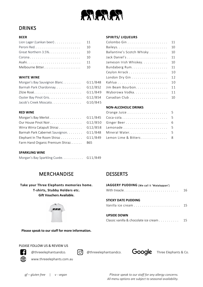

## DRINKS

| Lion Lager (Lankan beer) $\dots \dots \dots \dots$ 11 |                               |  |
|-------------------------------------------------------|-------------------------------|--|
|                                                       |                               |  |
| Great Northern $3.5\%$ 10                             | Ballantine's Scotch Whisky 10 |  |
|                                                       |                               |  |
|                                                       | Jameson Irish Whiskey 10      |  |
|                                                       | Bundaberg Rum. 11             |  |

| Barmah Park Chardonnay G12/B52 Jim Beam Bourbon 11 |  |  |
|----------------------------------------------------|--|--|
|                                                    |  |  |
|                                                    |  |  |
| Jacob's Creek Moscato $G10/B45$                    |  |  |

| Barmah Park Cabernet Sauvignon. G11/B48 Mineral Water. 5   |  |  |
|------------------------------------------------------------|--|--|
| Elephant In The Room Shiraz G11/B49 Lemon Lime & Bitters 8 |  |  |
| Farm Hand Organic Premium Shiraz B65                       |  |  |

#### **BEER SPIRITS/ LIQUEURS**

| Lion Lager (Lankan beer)     | 11      |                            | - 11 |
|------------------------------|---------|----------------------------|------|
|                              | 10      |                            | 10   |
| Great Northern 3.5%.         | 10      | Ballantine's Scotch Whisky | 10   |
|                              | 10      |                            | 11   |
|                              | 11      | Jameson Irish Whiskey.     | 10   |
|                              | 10      | Bundaberg Rum.             | 11   |
|                              |         |                            | 10   |
| WHITE WINE                   |         |                            | 12   |
| Morgan's Bay Sauvignon Blanc | G11/B48 |                            | 10   |
| Barmah Park Chardonnay       | G12/B52 | Jim Beam Bourbon.          | 11   |
|                              | G11/B49 | Wyborowa Vodka             | 11   |
| Oyster Bay Pinot Gris.       | G12/B54 |                            | 10   |
|                              |         |                            |      |

#### **NON-ALCOHOLIC DRINKS**

| <b>RED WINE</b> |                                                            |  |
|-----------------|------------------------------------------------------------|--|
|                 |                                                            |  |
|                 |                                                            |  |
|                 | Wirra Wirra Catapult Shiraz G12/B58 Lemonade 5             |  |
|                 | Barmah Park Cabernet Sauvignon. G11/B48 Mineral Water. 5   |  |
|                 | Elephant In The Room Shiraz G11/B49 Lemon Lime & Bitters 8 |  |
|                 |                                                            |  |

#### **SPARKLING WINE**

| Morgan's Bay Sparkling Cuvée | G11/B49 |
|------------------------------|---------|
|------------------------------|---------|

### MERCHANDISE DESSERTS

#### **Take your Three Elephants memories home. T-shirts, Stubby Holders etc. Gift Vouchers Available.**



| 16                                       |
|------------------------------------------|
|                                          |
|                                          |
|                                          |
| Classic vanilla & chocolate ice cream 15 |
|                                          |

**Please speak to our staff for more information.**

#### PLEASE FOLLOW US & REVIEW US





@threeelephantsandco. **@**threeelephantsandco. **Google** Three Elephants & Co.







*gf – gluten free* | *v - vegan Please speak to our staff for any allergy concerns. All menu options are subject to seasonal availability.*